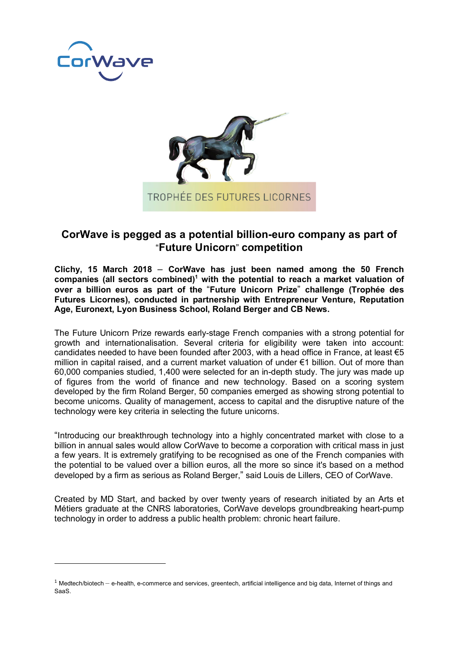

 $\overline{a}$ 



## **CorWave is pegged as a potential billion-euro company as part of**  "**Future Unicorn**" **competition**

**Clichy, 15 March 2018** – **CorWave has just been named among the 50 French companies (all sectors combined)1 with the potential to reach a market valuation of over a billion euros as part of the** "**Future Unicorn Prize**" **challenge (Trophée des Futures Licornes), conducted in partnership with Entrepreneur Venture, Reputation Age, Euronext, Lyon Business School, Roland Berger and CB News.** 

The Future Unicorn Prize rewards early-stage French companies with a strong potential for growth and internationalisation. Several criteria for eligibility were taken into account: candidates needed to have been founded after 2003, with a head office in France, at least  $\epsilon$ 5 million in capital raised, and a current market valuation of under €1 billion. Out of more than 60,000 companies studied, 1,400 were selected for an in-depth study. The jury was made up of figures from the world of finance and new technology. Based on a scoring system developed by the firm Roland Berger, 50 companies emerged as showing strong potential to become unicorns. Quality of management, access to capital and the disruptive nature of the technology were key criteria in selecting the future unicorns.

"Introducing our breakthrough technology into a highly concentrated market with close to a billion in annual sales would allow CorWave to become a corporation with critical mass in just a few years. It is extremely gratifying to be recognised as one of the French companies with the potential to be valued over a billion euros, all the more so since it's based on a method developed by a firm as serious as Roland Berger," said Louis de Lillers, CEO of CorWave.

Created by MD Start, and backed by over twenty years of research initiated by an Arts et Métiers graduate at the CNRS laboratories, CorWave develops groundbreaking heart-pump technology in order to address a public health problem: chronic heart failure.

 $1$  Medtech/biotech – e-health, e-commerce and services, greentech, artificial intelligence and big data, Internet of things and SaaS.